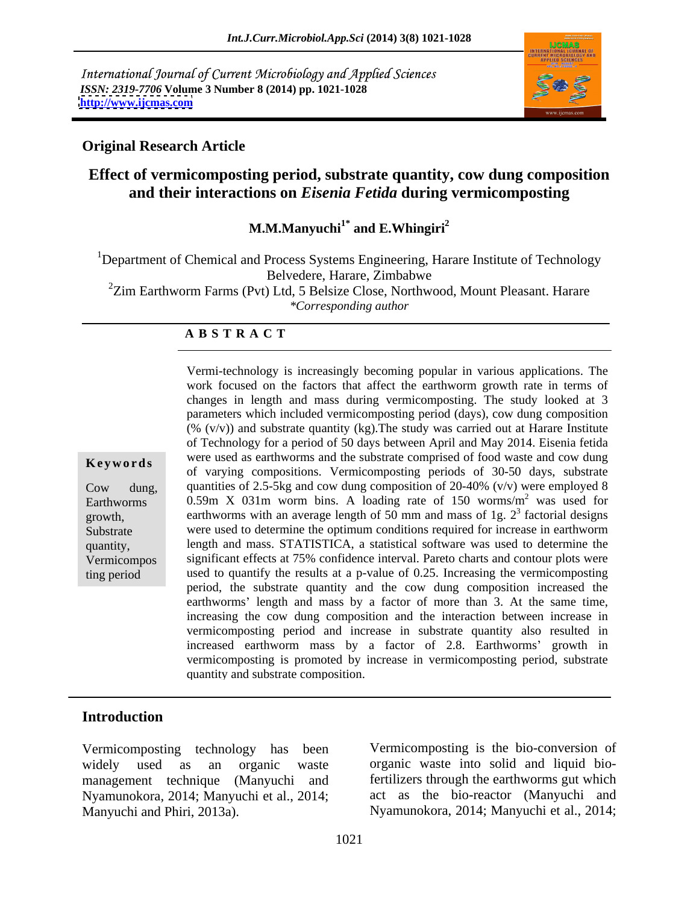International Journal of Current Microbiology and Applied Sciences *ISSN: 2319-7706* **Volume 3 Number 8 (2014) pp. 1021-1028 <http://www.ijcmas.com>**



### **Original Research Article**

### **Effect of vermicomposting period, substrate quantity, cow dung composition and their interactions on** *Eisenia Fetida* **during vermicomposting**

**M.M.Manyuchi1\* and E.Whingiri2**

<sup>1</sup>Department of Chemical and Process Systems Engineering, Harare Institute of Technology Belvedere, Harare, Zimbabwe  $2Z$ im Earthworm Farms (Pvt) Ltd, 5 Belsize Close, Northwood, Mount Pleasant. Harare

*\*Corresponding author* 

### **A B S T R A C T**

**Keywords** were used as earthworms and the substrate comprised of food waste and cow dung Cow dung, quantities of 2.5-5kg and cow dung composition of 20-40% ( $v/v$ ) were employed 8 Earthworms 0.59m X 031m worm bins. A loading rate of 150 worms/ $\frac{m^2}{n^2}$  was used for growth, earthworms with an average length of 50 mm and mass of 1g.  $2<sup>3</sup>$  factorial designs Substrate were used to determine the optimum conditions required for increase in earthworm quantity, length and mass. STATISTICA, a statistical software was used to determine the Vermicompos significant effects at 75% confidence interval. Pareto charts and contour plots were ting period used to quantify the results at a p-value of 0.25. Increasing the vermicomposting Vermi-technology is increasingly becoming popular in various applications. The work focused on the factors that affect the earthworm growth rate in terms of changes in length and mass during vermicomposting. The study looked at 3 parameters which included vermicomposting period (days), cow dung composition  $(\% (v/v))$  and substrate quantity (kg). The study was carried out at Harare Institute of Technology for a period of 50 days between April and May 2014. Eisenia fetida of varying compositions. Vermicomposting periods of 30-50 days, substrate  $2 \text{ was used for}$ was used for  $3$  footorial docions factorial designs period, the substrate quantity and the cow dung composition increased the earthworms' length and mass by a factor of more than 3. At the same time, increasing the cow dung composition and the interaction between increase in vermicomposting period and increase in substrate quantity also resulted in increased earthworm mass by a factor of 2.8. Earthworms' growth in vermicomposting is promoted by increase in vermicomposting period, substrate quantity and substrate composition.

### **Introduction**

widely used as an organic waste organic waste into solid and liquid biomanagement technique (Manyuchi and Nyamunokora, 2014; Manyuchi et al., 2014; Manyuchi and Phiri, 2013a). Nyamunokora, 2014; Manyuchi et al., 2014;

Vermicomposting technology has been Vermicomposting is the bio-conversion of fertilizers through the earthworms gut which act as the bio-reactor (Manyuchi and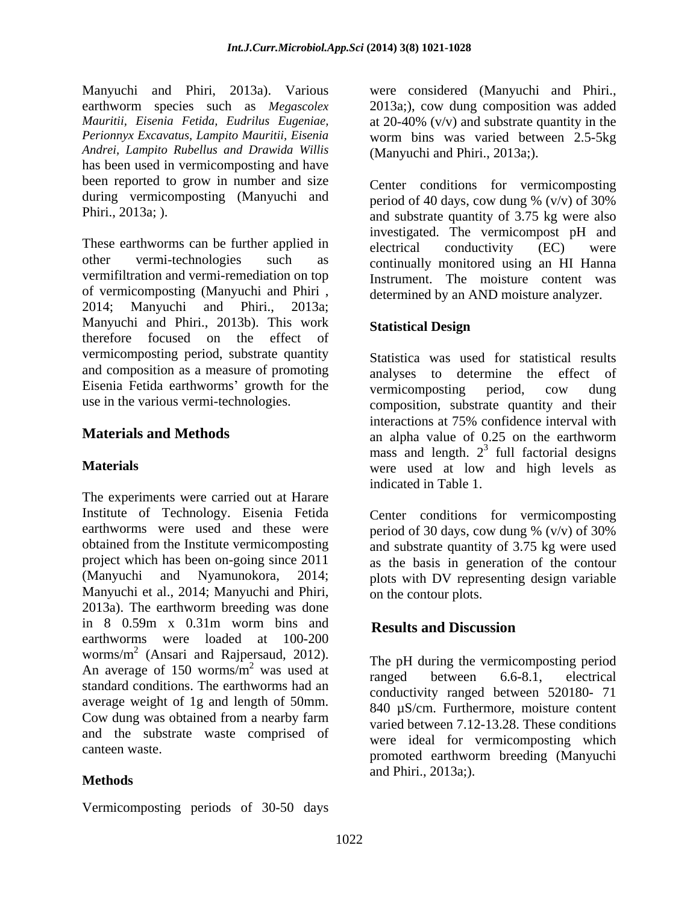Manyuchi and Phiri, 2013a). Various were considered (Manyuchi and Phiri., earthworm species such as *Megascolex*  2013a;), cow dung composition was added *Mauritii, Eisenia Fetida, Eudrilus Eugeniae,* at 20-40% (v/v) and substrate quantity in the *Perionnyx Excavatus, Lampito Mauritii, Eisenia* worm bins was varied between 2.5-5kg *Andrei, Lampito Rubellus and Drawida Willis* has been used in vermicomposting and have been reported to grow in number and size during vermicomposting (Manyuchi and period of 40 days, cow dung %  $(v/v)$  of 30%

These earthworms can be further applied in electrical conductivity (EC) were vermifiltration and vermi-remediation on top of vermicomposting (Manyuchi and Phiri , 2014; Manyuchi and Phiri., 2013a; Manyuchi and Phiri., 2013b). This work therefore focused on the effect of vermicomposting period, substrate quantity and composition as a measure of promoting Eisenia Fetida earthworms' growth for the vermicomposting period, cow dung use in the various vermi-technologies.

The experiments were carried out at Harare Institute of Technology. Eisenia Fetida Center conditions for vermicomposting earthworms were used and these were period of 30 days, cow dung %  $(v/v)$  of 30% obtained from the Institute vermicomposting and substrate quantity of 3.75 kg were used project which has been on-going since 2011 as the basis in generation of the contour (Manyuchi and Nyamunokora, 2014; plots with DV representing design variable Manyuchi et al., 2014; Manyuchi and Phiri, 2013a). The earthworm breeding was done in  $8$  0.59m x 0.31m worm bins and **Results and Discussion** earthworms were loaded at 100-200 worms/m<sup>2</sup> (Ansari and Rajpersaud, 2012). The pH during the vermicomposition period An average of  $150 \text{ worms/m}^2$  was used at a ranged between  $6.6-8.1$ , electrical standard conditions. The earthworms had an average weight of 1g and length of 50mm. Cow dung was obtained from a nearby farm and the substrate waste comprised of

Vermicomposting periods of 30-50 days

(Manyuchi and Phiri., 2013a;).

Phiri., 2013a; ). This and substrate quantity of 3.75 kg were also other vermi-technologies such as continually monitored using an HI Hanna Center conditions for vermicomposting period of 40 days, cow dung % (v/v) of 30% investigated. The vermicompost pH and electrical conductivity (EC) were Instrument. The moisture content was determined by an AND moisture analyzer.

### **Statistical Design**

**Materials and Methods** and **Methods** an alpha value of 0.25 on the earthworm **Materials** were used at low and high levels as Statistica was used for statistical results analyses to determine the effect of vermicomposting period, cow dung composition, substrate quantity and their interactions at 75% confidence interval with an alpha value of 0.25 on the earthworm mass and length.  $2<sup>3</sup>$  full factorial designs indicated in Table 1.

> period of 30 days, cow dung % (v/v) of 30% on the contour plots.

### **Results and Discussion**

 $\frac{2 \text{ erg}}{2 \text{ erg}}$  and  $\frac{2012}{1000}$ . The pH during the vermicomposting period was used at  $\frac{1}{2}$  ranged between  $66.81$  electrical canteen waste. promoted earthworm breeding (Manyuchi **Methods** ranged between 6.6-8.1, electrical conductivity ranged between 520180- 71 840 µS/cm. Furthermore, moisture content varied between 7.12-13.28. These conditions were ideal for vermicomposting which and Phiri., 2013a;).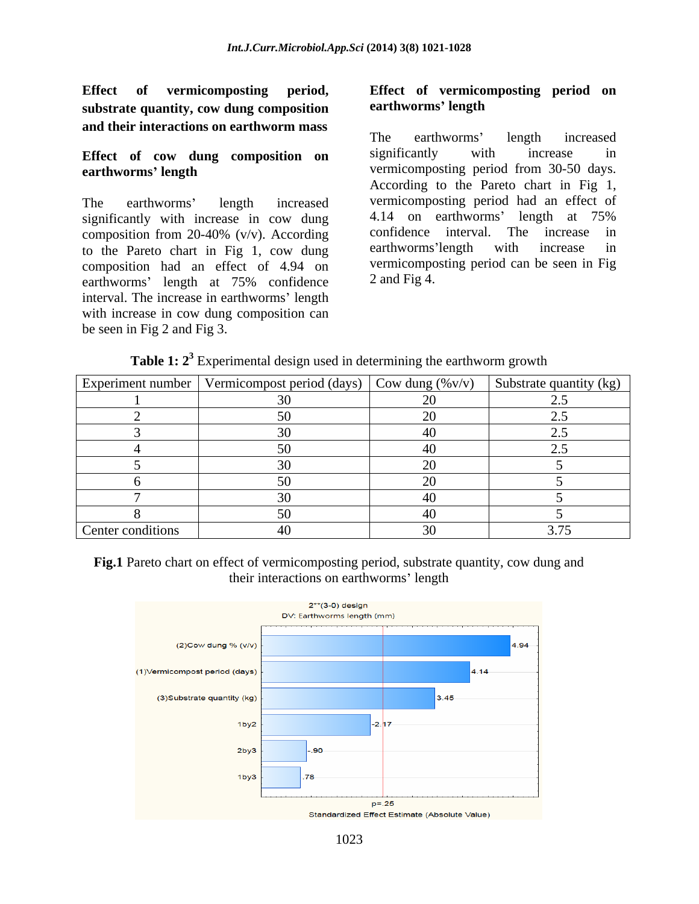**substrate quantity, cow dung composition and their interactions on earthworm mass** The earthworms' length increased

significantly with increase in cow dung  $\frac{4.14}{2.14}$  on earthworms' length at 75% composition from 20.40% (y/y) According confidence interval. The increase in to the Pareto chart in Fig 1, cow dung earthworms'length with increase in composition had an effect of 4.94 on vermicompo<br>earthworms' length at 75% confidence 2 and Fig 4. earthworms' length at 75% confidence interval. The increase in earthworms' length with increase in cow dung composition can be seen in Fig 2 and Fig 3.

### **Effect of vermicomposting period, Effect of vermicomposting period on earthworms length**

**Effect of cow dung composition on earthworms' length vermicomposting period from 30-50 days.** The earthworms' length increased vermicomposting period had an effect of significantly with increase in cow dung 4.14 on earthworms' length at 75% composition from 20-40% (v/v). According confidence interval. The increase in The earthworms' length increased significantly with increase in According to the Pareto chart in Fig 1, vermicomposting period had an effect of 4.14 on earthworms' length at 75% confidence interval. The increase earthworms length with increase in vermicomposting period can be seen in Fig 2 and Fig 4.

|                   | Experiment number   Vermicompost period (days) $\vert$ Cow dung (%v/v) $\vert$ Substrate quantity (kg) |  |
|-------------------|--------------------------------------------------------------------------------------------------------|--|
|                   |                                                                                                        |  |
|                   |                                                                                                        |  |
|                   |                                                                                                        |  |
|                   |                                                                                                        |  |
|                   |                                                                                                        |  |
|                   |                                                                                                        |  |
|                   |                                                                                                        |  |
|                   |                                                                                                        |  |
| Center conditions |                                                                                                        |  |

### **Table 1:**  $2<sup>3</sup>$  Experimental design used in determining the earthworm growth

**Fig.1** Pareto chart on effect of vermicomposting period, substrate quantity, cow dung and their interactions on earthworms' length

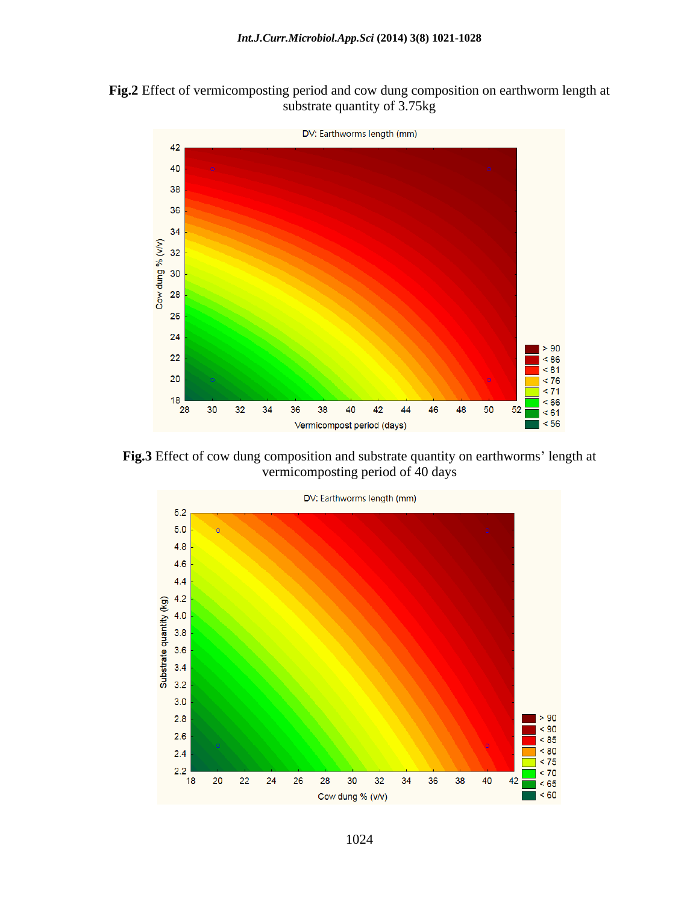



Fig.3 Effect of cow dung composition and substrate quantity on earthworms' length at vermicomposting period of 40 days

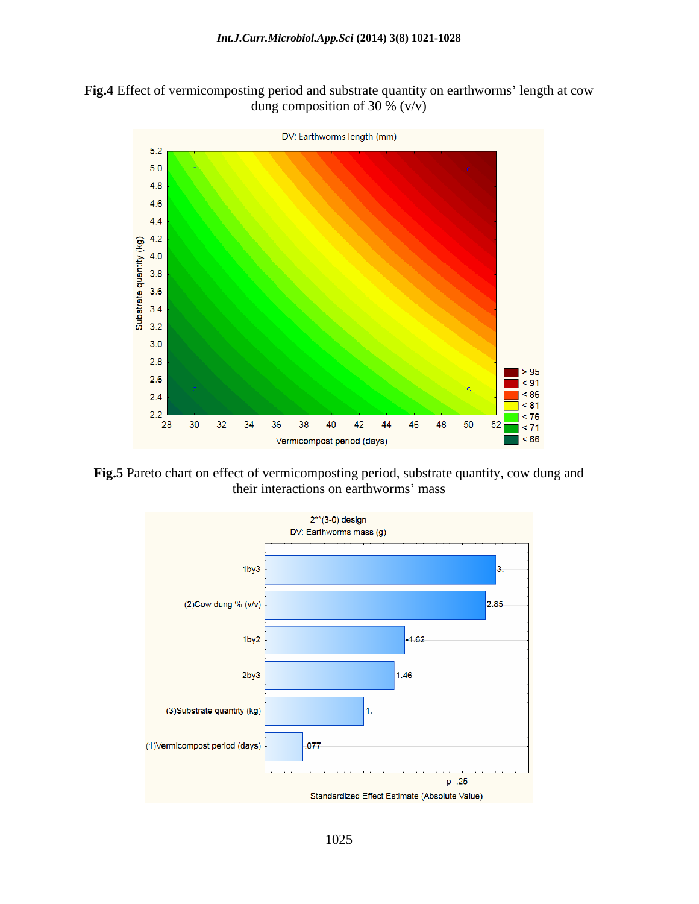



**Fig.5** Pareto chart on effect of vermicomposting period, substrate quantity, cow dung and their interactions on earthworms' mass

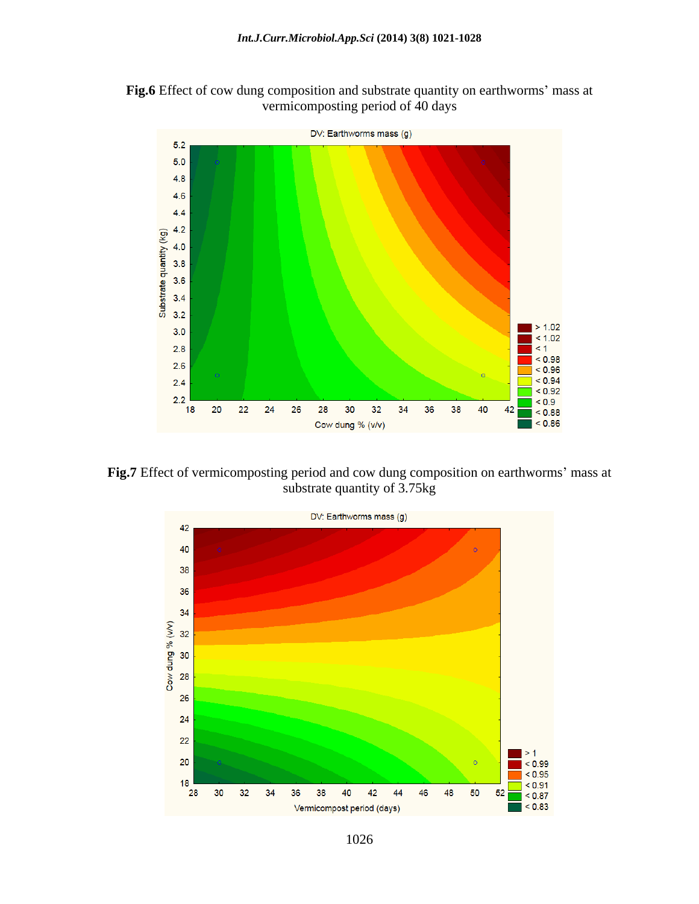



Fig.7 Effect of vermicomposting period and cow dung composition on earthworms' mass at substrate quantity of 3.75kg



1026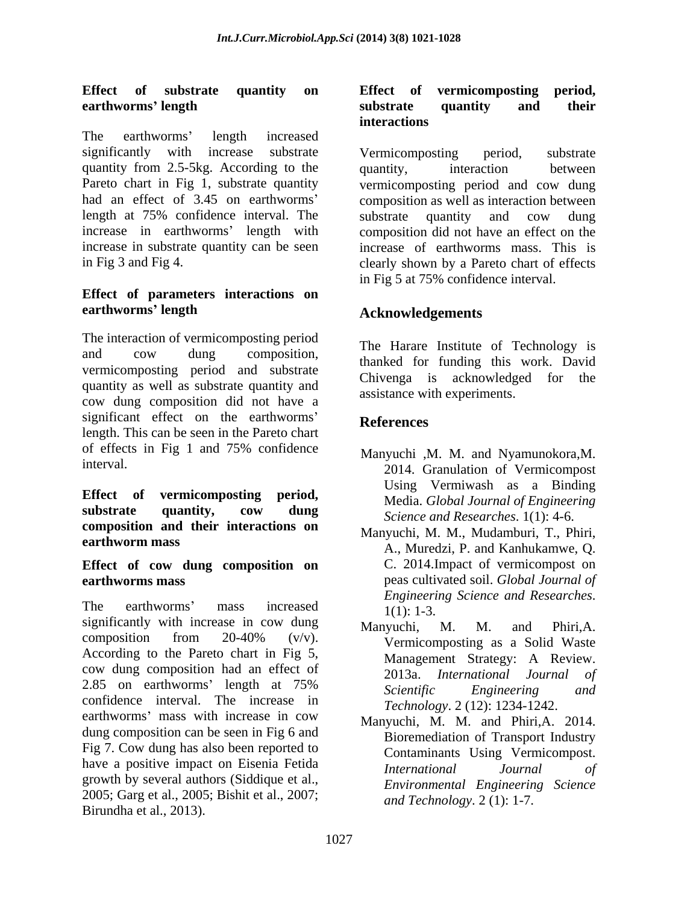The earthworms' length increased significantly with increase substrate Vermicomposting period, substrate quantity from 2.5-5kg. According to the quantity, interaction between Pareto chart in Fig 1, substrate quantity vermicomposting period and cow dung had an effect of 3.45 on earthworms composition as well as interaction between length at 75% confidence interval. The increase in earthworms' length with composition did not have an effect on the increase in substrate quantity can be seen increase of earthworms mass. This is

### **Effect of parameters interactions on earthworms length**

The interaction of vermicomposting period and cow dung composition, the hand institute of recurrency is vermicomposting period and substrate quantity as well as substrate quantity and cow dung composition did not have a significant effect on the earthworms' References length. This can be seen in the Pareto chart of effects in Fig 1 and 75% confidence  $\overline{M}$  any uchi M M and Nyamunokora M

**Effect of vermicomposting period, substrate quantity, cow dung composition and their interactions on**

# **Effect of cow dung composition on**

The earthworms' mass increased  $\frac{1}{1}(1) \cdot 1 = 3$ significantly with increase in cow dung  $M$  Manyuchi, M. M. and Phiri, A.  $\frac{1}{20}$  composition from 20-40% (v/v). Vermicomposition as a Solid Waste According to the Pareto chart in Fig 5, cow dung composition had an effect of 2013a. International Journal of 2.85 on earthworms' length at 75% Scientific Engineering and confidence interval. The increase in earthworms' mass with increase in cow dung composition can be seen in Fig 6 and Fig 7. Cow dung has also been reported to have a positive impact on Eisenia Fetida<br>International Iournal of growth by several authors (Siddique et al., 2005; Garg et al.,2005; Bishit et al., 2007; Birundha et al., 2013).

### **Effect of substrate quantity on earthworms length Effect of vermicomposting period, substrate quantity and their interactions**

in Fig 3 and Fig 4. clearly shown by a Pareto chart of effects Vermicomposting period, substrate quantity, interaction between substrate quantity and cow dung in Fig 5 at 75% confidence interval.

### **Acknowledgements**

The Harare Institute of Technology is thanked for funding this work. David Chivenga is acknowledged for the assistance with experiments.

## **References**

- interval. 2014. Granulation of Vermicompost Manyuchi ,M. M. and Nyamunokora,M. Using Vermiwash as a Binding Media. *Global Journal of Engineering Science and Researches*. 1(1): 4-6.
- **earthworm mass earthworm mass a earthworm mass a h**, Muredzi, P. and Kanhukamwe, Q. **earthworms mass** peas cultivated soil. *Global Journal of* Manyuchi, M. M., Mudamburi, T., Phiri, C. 2014.Impact of vermicompost on *Engineering Science and Researches*. 1(1): 1-3.
	- Manyuchi, M. M. and Phiri,A. Vermicomposting as a Solid Waste Management Strategy: A Review. 2013a. *International Journal of Scientific Engineering and Technology*. 2 (12): 1234-1242.
	- Manyuchi, M. M. and Phiri,A. 2014. Bioremediation of Transport Industry Contaminants Using Vermicompost. *International Journal of Environmental Engineering Science and Technology*. 2 (1): 1-7.